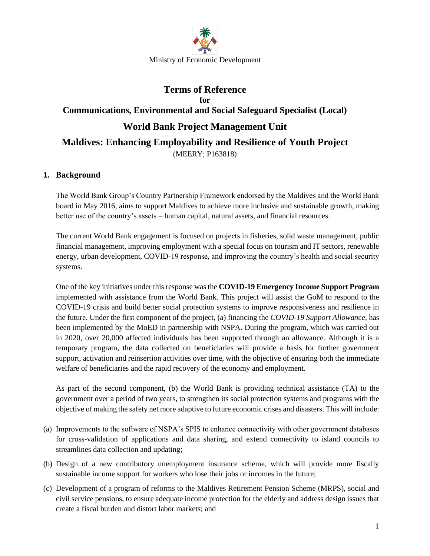

# **Terms of Reference for Communications, Environmental and Social Safeguard Specialist (Local) World Bank Project Management Unit Maldives: Enhancing Employability and Resilience of Youth Project** (MEERY; P163818)

## **1. Background**

The World Bank Group's Country Partnership Framework endorsed by the Maldives and the World Bank board in May 2016, aims to support Maldives to achieve more inclusive and sustainable growth, making better use of the country's assets – human capital, natural assets, and financial resources.

The current World Bank engagement is focused on projects in fisheries, solid waste management, public financial management, improving employment with a special focus on tourism and IT sectors, renewable energy, urban development, COVID-19 response, and improving the country's health and social security systems.

One of the key initiatives under this response was the **COVID-19 Emergency Income Support Program**  implemented with assistance from the World Bank. This project will assist the GoM to respond to the COVID-19 crisis and build better social protection systems to improve responsiveness and resilience in the future. Under the first component of the project, (a) financing the *COVID-19 Support Allowance*, has been implemented by the MoED in partnership with NSPA. During the program, which was carried out in 2020, over 20,000 affected individuals has been supported through an allowance. Although it is a temporary program, the data collected on beneficiaries will provide a basis for further government support, activation and reinsertion activities over time, with the objective of ensuring both the immediate welfare of beneficiaries and the rapid recovery of the economy and employment.

As part of the second component, (b) the World Bank is providing technical assistance (TA) to the government over a period of two years, to strengthen its social protection systems and programs with the objective of making the safety net more adaptive to future economic crises and disasters. This will include:

- (a) Improvements to the software of NSPA's SPIS to enhance connectivity with other government databases for cross-validation of applications and data sharing, and extend connectivity to island councils to streamlines data collection and updating;
- (b) Design of a new contributory unemployment insurance scheme, which will provide more fiscally sustainable income support for workers who lose their jobs or incomes in the future;
- (c) Development of a program of reforms to the Maldives Retirement Pension Scheme (MRPS), social and civil service pensions, to ensure adequate income protection for the elderly and address design issues that create a fiscal burden and distort labor markets; and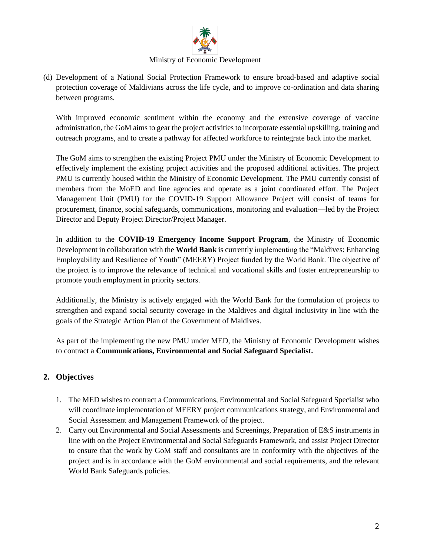

#### Ministry of Economic Development

(d) Development of a National Social Protection Framework to ensure broad-based and adaptive social protection coverage of Maldivians across the life cycle, and to improve co-ordination and data sharing between programs.

With improved economic sentiment within the economy and the extensive coverage of vaccine administration, the GoM aims to gear the project activities to incorporate essential upskilling, training and outreach programs, and to create a pathway for affected workforce to reintegrate back into the market.

The GoM aims to strengthen the existing Project PMU under the Ministry of Economic Development to effectively implement the existing project activities and the proposed additional activities. The project PMU is currently housed within the Ministry of Economic Development. The PMU currently consist of members from the MoED and line agencies and operate as a joint coordinated effort. The Project Management Unit (PMU) for the COVID-19 Support Allowance Project will consist of teams for procurement, finance, social safeguards, communications, monitoring and evaluation—led by the Project Director and Deputy Project Director/Project Manager.

In addition to the **COVID-19 Emergency Income Support Program**, the Ministry of Economic Development in collaboration with the **World Bank** is currently implementing the "Maldives: Enhancing Employability and Resilience of Youth" (MEERY) Project funded by the World Bank. The objective of the project is to improve the relevance of technical and vocational skills and foster entrepreneurship to promote youth employment in priority sectors.

Additionally, the Ministry is actively engaged with the World Bank for the formulation of projects to strengthen and expand social security coverage in the Maldives and digital inclusivity in line with the goals of the Strategic Action Plan of the Government of Maldives.

As part of the implementing the new PMU under MED, the Ministry of Economic Development wishes to contract a **Communications, Environmental and Social Safeguard Specialist.**

### **2. Objectives**

- 1. The MED wishes to contract a Communications, Environmental and Social Safeguard Specialist who will coordinate implementation of MEERY project communications strategy, and Environmental and Social Assessment and Management Framework of the project.
- 2. Carry out Environmental and Social Assessments and Screenings, Preparation of E&S instruments in line with on the Project Environmental and Social Safeguards Framework, and assist Project Director to ensure that the work by GoM staff and consultants are in conformity with the objectives of the project and is in accordance with the GoM environmental and social requirements, and the relevant World Bank Safeguards policies.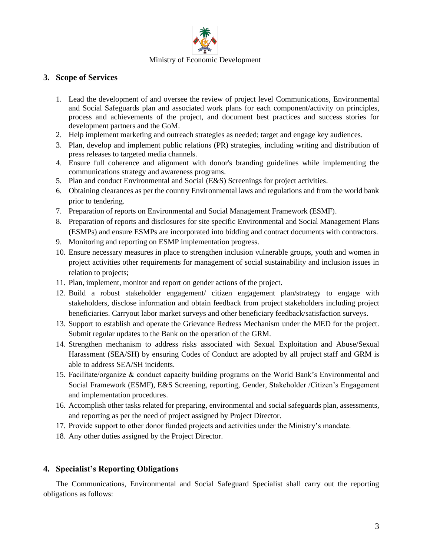

## **3. Scope of Services**

- 1. Lead the development of and oversee the review of project level Communications, Environmental and Social Safeguards plan and associated work plans for each component/activity on principles, process and achievements of the project, and document best practices and success stories for development partners and the GoM.
- 2. Help implement marketing and outreach strategies as needed; target and engage key audiences.
- 3. Plan, develop and implement public relations (PR) strategies, including writing and distribution of press releases to targeted media channels.
- 4. Ensure full coherence and alignment with donor's branding guidelines while implementing the communications strategy and awareness programs.
- 5. Plan and conduct Environmental and Social (E&S) Screenings for project activities.
- 6. Obtaining clearances as per the country Environmental laws and regulations and from the world bank prior to tendering.
- 7. Preparation of reports on Environmental and Social Management Framework (ESMF).
- 8. Preparation of reports and disclosures for site specific Environmental and Social Management Plans (ESMPs) and ensure ESMPs are incorporated into bidding and contract documents with contractors.
- 9. Monitoring and reporting on ESMP implementation progress.
- 10. Ensure necessary measures in place to strengthen inclusion vulnerable groups, youth and women in project activities other requirements for management of social sustainability and inclusion issues in relation to projects;
- 11. Plan, implement, monitor and report on gender actions of the project.
- 12. Build a robust stakeholder engagement/ citizen engagement plan/strategy to engage with stakeholders, disclose information and obtain feedback from project stakeholders including project beneficiaries. Carryout labor market surveys and other beneficiary feedback/satisfaction surveys.
- 13. Support to establish and operate the Grievance Redress Mechanism under the MED for the project. Submit regular updates to the Bank on the operation of the GRM.
- 14. Strengthen mechanism to address risks associated with Sexual Exploitation and Abuse/Sexual Harassment (SEA/SH) by ensuring Codes of Conduct are adopted by all project staff and GRM is able to address SEA/SH incidents.
- 15. Facilitate/organize & conduct capacity building programs on the World Bank's Environmental and Social Framework (ESMF), E&S Screening, reporting, Gender, Stakeholder /Citizen's Engagement and implementation procedures.
- 16. Accomplish other tasks related for preparing, environmental and social safeguards plan, assessments, and reporting as per the need of project assigned by Project Director.
- 17. Provide support to other donor funded projects and activities under the Ministry's mandate.
- 18. Any other duties assigned by the Project Director.

# **4. Specialist's Reporting Obligations**

The Communications, Environmental and Social Safeguard Specialist shall carry out the reporting obligations as follows: